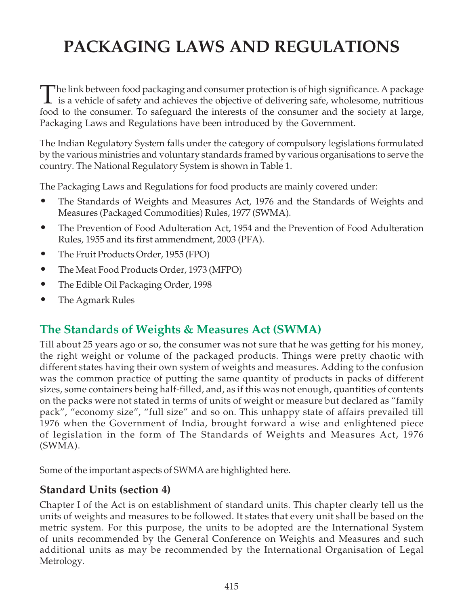# PACKAGING LAWS AND REGULATIONS

The link between food packaging and consumer protection is of high significance. A package<br>is a vehicle of safety and achieves the objective of delivering safe, wholesome, nutritious<br>for all the biggest of the intensity of food to the consumer. To safeguard the interests of the consumer and the society at large, Packaging Laws and Regulations have been introduced by the Government.

The Indian Regulatory System falls under the category of compulsory legislations formulated by the various ministries and voluntary standards framed by various organisations to serve the country. The National Regulatory System is shown in Table 1.

The Packaging Laws and Regulations for food products are mainly covered under:

- The Standards of Weights and Measures Act, 1976 and the Standards of Weights and Measures (Packaged Commodities) Rules, 1977 (SWMA).
- The Prevention of Food Adulteration Act, 1954 and the Prevention of Food Adulteration Rules, 1955 and its first ammendment, 2003 (PFA).
- The Fruit Products Order, 1955 (FPO)
- The Meat Food Products Order, 1973 (MFPO)
- The Edible Oil Packaging Order, 1998
- The Agmark Rules

# The Standards of Weights & Measures Act (SWMA)

Till about 25 years ago or so, the consumer was not sure that he was getting for his money, the right weight or volume of the packaged products. Things were pretty chaotic with different states having their own system of weights and measures. Adding to the confusion was the common practice of putting the same quantity of products in packs of different sizes, some containers being half-filled, and, as if this was not enough, quantities of contents on the packs were not stated in terms of units of weight or measure but declared as "family pack", "economy size", "full size" and so on. This unhappy state of affairs prevailed till 1976 when the Government of India, brought forward a wise and enlightened piece of legislation in the form of The Standards of Weights and Measures Act, 1976 (SWMA).

Some of the important aspects of SWMA are highlighted here.

### Standard Units (section 4)

Chapter I of the Act is on establishment of standard units. This chapter clearly tell us the units of weights and measures to be followed. It states that every unit shall be based on the metric system. For this purpose, the units to be adopted are the International System of units recommended by the General Conference on Weights and Measures and such additional units as may be recommended by the International Organisation of Legal Metrology.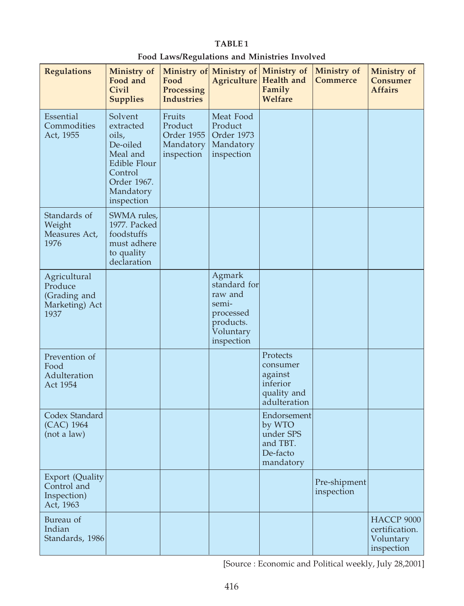#### Food Laws/Regulations and Ministries Involved

| <b>Regulations</b>                                                | Ministry of<br>Food and<br>Civil<br><b>Supplies</b>                                                                        | Ministry of<br>Food<br>Processing<br><b>Industries</b>     | Agriculture                                                                                     | Ministry of Ministry of<br>Health and<br>Family<br>Welfare                 | Ministry of<br><b>Commerce</b> | Ministry of<br>Consumer<br><b>Affairs</b>                      |
|-------------------------------------------------------------------|----------------------------------------------------------------------------------------------------------------------------|------------------------------------------------------------|-------------------------------------------------------------------------------------------------|----------------------------------------------------------------------------|--------------------------------|----------------------------------------------------------------|
| Essential<br>Commodities<br>Act, 1955                             | Solvent<br>extracted<br>oils,<br>De-oiled<br>Meal and<br>Edible Flour<br>Control<br>Order 1967.<br>Mandatory<br>inspection | Fruits<br>Product<br>Order 1955<br>Mandatory<br>inspection | Meat Food<br>Product<br>Order 1973<br>Mandatory<br>inspection                                   |                                                                            |                                |                                                                |
| Standards of<br>Weight<br>Measures Act,<br>1976                   | SWMA rules,<br>1977. Packed<br>foodstuffs<br>must adhere<br>to quality<br>declaration                                      |                                                            |                                                                                                 |                                                                            |                                |                                                                |
| Agricultural<br>Produce<br>(Grading and<br>Marketing) Act<br>1937 |                                                                                                                            |                                                            | Agmark<br>standard for<br>raw and<br>semi-<br>processed<br>products.<br>Voluntary<br>inspection |                                                                            |                                |                                                                |
| Prevention of<br>Food<br>Adulteration<br>Act 1954                 |                                                                                                                            |                                                            |                                                                                                 | Protects<br>consumer<br>against<br>inferior<br>quality and<br>adulteration |                                |                                                                |
| Codex Standard<br>(CAC) 1964<br>(not a law)                       |                                                                                                                            |                                                            |                                                                                                 | Endorsement<br>by WTO<br>under SPS<br>and TBT.<br>De-facto<br>mandatory    |                                |                                                                |
| Export (Quality<br>Control and<br>Inspection)<br>Act, 1963        |                                                                                                                            |                                                            |                                                                                                 |                                                                            | Pre-shipment<br>inspection     |                                                                |
| Bureau of<br>Indian<br>Standards, 1986                            |                                                                                                                            |                                                            |                                                                                                 |                                                                            |                                | <b>HACCP 9000</b><br>certification.<br>Voluntary<br>inspection |

[Source : Economic and Political weekly, July 28,2001]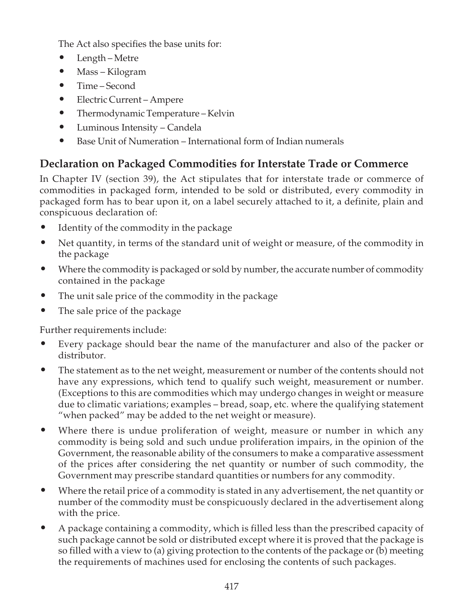The Act also specifies the base units for:

- Length Metre
- Mass Kilogram
- Time Second
- Electric Current Ampere
- Thermodynamic Temperature Kelvin
- Luminous Intensity Candela
- Base Unit of Numeration International form of Indian numerals

# Declaration on Packaged Commodities for Interstate Trade or Commerce

In Chapter IV (section 39), the Act stipulates that for interstate trade or commerce of commodities in packaged form, intended to be sold or distributed, every commodity in packaged form has to bear upon it, on a label securely attached to it, a definite, plain and conspicuous declaration of:

- Identity of the commodity in the package
- Net quantity, in terms of the standard unit of weight or measure, of the commodity in the package
- Where the commodity is packaged or sold by number, the accurate number of commodity contained in the package
- The unit sale price of the commodity in the package
- The sale price of the package

Further requirements include:

- Every package should bear the name of the manufacturer and also of the packer or distributor.
- The statement as to the net weight, measurement or number of the contents should not have any expressions, which tend to qualify such weight, measurement or number. (Exceptions to this are commodities which may undergo changes in weight or measure due to climatic variations; examples – bread, soap, etc. where the qualifying statement "when packed" may be added to the net weight or measure).
- Where there is undue proliferation of weight, measure or number in which any commodity is being sold and such undue proliferation impairs, in the opinion of the Government, the reasonable ability of the consumers to make a comparative assessment of the prices after considering the net quantity or number of such commodity, the Government may prescribe standard quantities or numbers for any commodity.
- Where the retail price of a commodity is stated in any advertisement, the net quantity or number of the commodity must be conspicuously declared in the advertisement along with the price.
- A package containing a commodity, which is filled less than the prescribed capacity of such package cannot be sold or distributed except where it is proved that the package is so filled with a view to (a) giving protection to the contents of the package or (b) meeting the requirements of machines used for enclosing the contents of such packages.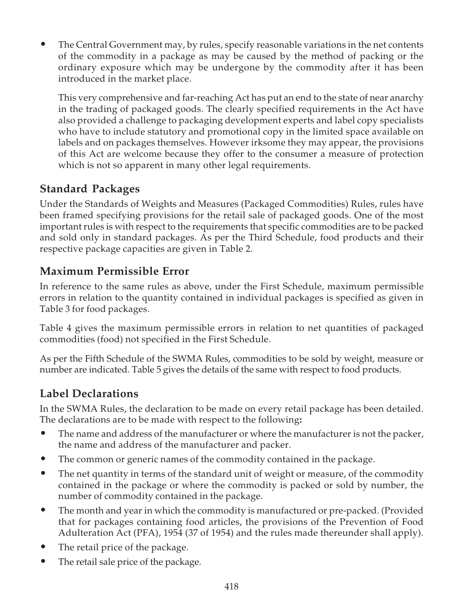• The Central Government may, by rules, specify reasonable variations in the net contents of the commodity in a package as may be caused by the method of packing or the ordinary exposure which may be undergone by the commodity after it has been introduced in the market place.

This very comprehensive and far-reaching Act has put an end to the state of near anarchy in the trading of packaged goods. The clearly specified requirements in the Act have also provided a challenge to packaging development experts and label copy specialists who have to include statutory and promotional copy in the limited space available on labels and on packages themselves. However irksome they may appear, the provisions of this Act are welcome because they offer to the consumer a measure of protection which is not so apparent in many other legal requirements.

### Standard Packages

Under the Standards of Weights and Measures (Packaged Commodities) Rules, rules have been framed specifying provisions for the retail sale of packaged goods. One of the most important rules is with respect to the requirements that specific commodities are to be packed and sold only in standard packages. As per the Third Schedule, food products and their respective package capacities are given in Table 2.

### Maximum Permissible Error

In reference to the same rules as above, under the First Schedule, maximum permissible errors in relation to the quantity contained in individual packages is specified as given in Table 3 for food packages.

Table 4 gives the maximum permissible errors in relation to net quantities of packaged commodities (food) not specified in the First Schedule.

As per the Fifth Schedule of the SWMA Rules, commodities to be sold by weight, measure or number are indicated. Table 5 gives the details of the same with respect to food products.

### Label Declarations

In the SWMA Rules, the declaration to be made on every retail package has been detailed. The declarations are to be made with respect to the following:

- The name and address of the manufacturer or where the manufacturer is not the packer, the name and address of the manufacturer and packer.
- The common or generic names of the commodity contained in the package.
- The net quantity in terms of the standard unit of weight or measure, of the commodity contained in the package or where the commodity is packed or sold by number, the number of commodity contained in the package.
- The month and year in which the commodity is manufactured or pre-packed. (Provided that for packages containing food articles, the provisions of the Prevention of Food Adulteration Act (PFA), 1954 (37 of 1954) and the rules made thereunder shall apply).
- The retail price of the package.
- The retail sale price of the package.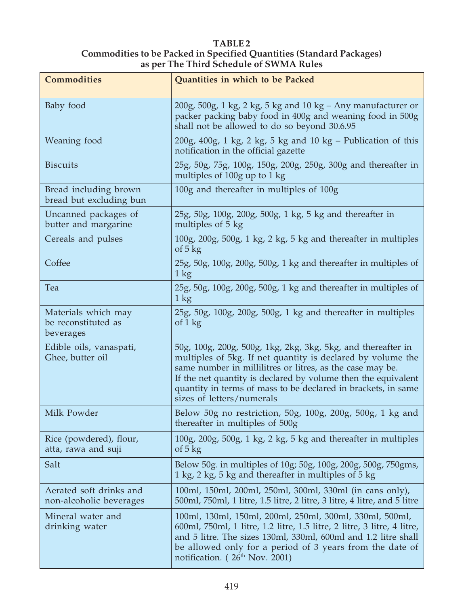#### TABLE 2 Commodities to be Packed in Specified Quantities (Standard Packages) as per The Third Schedule of SWMA Rules

| <b>Commodities</b>                                      | Quantities in which to be Packed                                                                                                                                                                                                                                                                                                                        |  |
|---------------------------------------------------------|---------------------------------------------------------------------------------------------------------------------------------------------------------------------------------------------------------------------------------------------------------------------------------------------------------------------------------------------------------|--|
| Baby food                                               | $200g$ , $500g$ , 1 kg, 2 kg, 5 kg and 10 kg – Any manufacturer or<br>packer packing baby food in 400g and weaning food in 500g<br>shall not be allowed to do so beyond 30.6.95                                                                                                                                                                         |  |
| Weaning food                                            | $200g$ , $400g$ , 1 kg, 2 kg, 5 kg and 10 kg – Publication of this<br>notification in the official gazette                                                                                                                                                                                                                                              |  |
| <b>Biscuits</b>                                         | 25g, 50g, 75g, 100g, 150g, 200g, 250g, 300g and thereafter in<br>multiples of 100g up to 1 kg                                                                                                                                                                                                                                                           |  |
| Bread including brown<br>bread but excluding bun        | 100g and thereafter in multiples of 100g                                                                                                                                                                                                                                                                                                                |  |
| Uncanned packages of<br>butter and margarine            | 25g, 50g, 100g, 200g, 500g, 1 kg, 5 kg and thereafter in<br>multiples of 5 kg                                                                                                                                                                                                                                                                           |  |
| Cereals and pulses                                      | 100g, 200g, 500g, 1 kg, 2 kg, 5 kg and thereafter in multiples<br>of $5 \text{ kg}$                                                                                                                                                                                                                                                                     |  |
| Coffee                                                  | 25g, 50g, 100g, 200g, 500g, 1 kg and thereafter in multiples of<br>1 kg                                                                                                                                                                                                                                                                                 |  |
| Tea                                                     | 25g, 50g, 100g, 200g, 500g, 1 kg and thereafter in multiples of<br>$1 \text{ kg}$                                                                                                                                                                                                                                                                       |  |
| Materials which may<br>be reconstituted as<br>beverages | 25g, 50g, 100g, 200g, 500g, 1 kg and thereafter in multiples<br>of $1 \text{ kg}$                                                                                                                                                                                                                                                                       |  |
| Edible oils, vanaspati,<br>Ghee, butter oil             | 50g, 100g, 200g, 500g, 1kg, 2kg, 3kg, 5kg, and thereafter in<br>multiples of 5kg. If net quantity is declared by volume the<br>same number in millilitres or litres, as the case may be.<br>If the net quantity is declared by volume then the equivalent<br>quantity in terms of mass to be declared in brackets, in same<br>sizes of letters/numerals |  |
| Milk Powder                                             | Below 50g no restriction, 50g, 100g, 200g, 500g, 1 kg and<br>thereafter in multiples of 500g                                                                                                                                                                                                                                                            |  |
| Rice (powdered), flour,<br>atta, rawa and suji          | 100g, 200g, 500g, 1 kg, 2 kg, 5 kg and thereafter in multiples<br>of $5$ kg                                                                                                                                                                                                                                                                             |  |
| Salt                                                    | Below 50g. in multiples of 10g; 50g, 100g, 200g, 500g, 750gms,<br>1 kg, 2 kg, 5 kg and thereafter in multiples of 5 kg                                                                                                                                                                                                                                  |  |
| Aerated soft drinks and<br>non-alcoholic beverages      | 100ml, 150ml, 200ml, 250ml, 300ml, 330ml (in cans only),<br>500ml, 750ml, 1 litre, 1.5 litre, 2 litre, 3 litre, 4 litre, and 5 litre                                                                                                                                                                                                                    |  |
| Mineral water and<br>drinking water                     | 100ml, 130ml, 150ml, 200ml, 250ml, 300ml, 330ml, 500ml,<br>600ml, 750ml, 1 litre, 1.2 litre, 1.5 litre, 2 litre, 3 litre, 4 litre,<br>and 5 litre. The sizes 130ml, 330ml, 600ml and 1.2 litre shall<br>be allowed only for a period of 3 years from the date of<br>notification. (26 <sup>th</sup> Nov. 2001)                                          |  |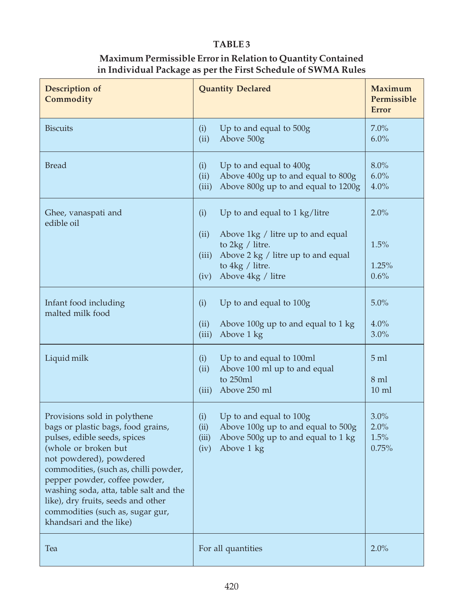#### Maximum Permissible Error in Relation to Quantity Contained in Individual Package as per the First Schedule of SWMA Rules

| Description of<br>Commodity                                                                                                                                                                                                                                                                                                                                                    | <b>Quantity Declared</b>                                                                                                                                                                                        | <b>Maximum</b><br>Permissible<br><b>Error</b> |
|--------------------------------------------------------------------------------------------------------------------------------------------------------------------------------------------------------------------------------------------------------------------------------------------------------------------------------------------------------------------------------|-----------------------------------------------------------------------------------------------------------------------------------------------------------------------------------------------------------------|-----------------------------------------------|
| <b>Biscuits</b>                                                                                                                                                                                                                                                                                                                                                                | Up to and equal to 500g<br>(i)<br>(ii)<br>Above 500g                                                                                                                                                            | 7.0%<br>6.0%                                  |
| <b>Bread</b>                                                                                                                                                                                                                                                                                                                                                                   | (i)<br>Up to and equal to $400g$<br>(ii)<br>Above 400g up to and equal to 800g<br>Above 800g up to and equal to 1200g<br>(iii)                                                                                  | 8.0%<br>6.0%<br>4.0%                          |
| Ghee, vanaspati and<br>edible oil                                                                                                                                                                                                                                                                                                                                              | (i)<br>Up to and equal to $1 \text{ kg/litre}$<br>(ii)<br>Above 1kg / litre up to and equal<br>to $2kg /$ litre.<br>Above 2 kg / litre up to and equal<br>(iii)<br>to 4kg / litre.<br>(iv)<br>Above 4kg / litre | 2.0%<br>1.5%<br>1.25%<br>0.6%                 |
| Infant food including<br>malted milk food                                                                                                                                                                                                                                                                                                                                      | (i)<br>Up to and equal to 100g<br>(ii)<br>Above 100g up to and equal to 1 kg<br>(iii)<br>Above 1 kg                                                                                                             | 5.0%<br>4.0%<br>3.0%                          |
| Liquid milk                                                                                                                                                                                                                                                                                                                                                                    | (i)<br>Up to and equal to 100ml<br>Above 100 ml up to and equal<br>(ii)<br>to 250ml<br>(iii)<br>Above 250 ml                                                                                                    | $5 \text{ ml}$<br>8 ml<br>$10 \text{ ml}$     |
| Provisions sold in polythene<br>bags or plastic bags, food grains,<br>pulses, edible seeds, spices<br>(whole or broken but<br>not powdered), powdered<br>commodities, (such as, chilli powder,<br>pepper powder, coffee powder,<br>washing soda, atta, table salt and the<br>like), dry fruits, seeds and other<br>commodities (such as, sugar gur,<br>khandsari and the like) | Up to and equal to 100g<br>(i)<br>(ii)<br>Above 100g up to and equal to 500g<br>(iii)<br>Above 500g up to and equal to 1 kg<br>(iv)<br>Above 1 kg                                                               | 3.0%<br>2.0%<br>1.5%<br>0.75%                 |
| Tea                                                                                                                                                                                                                                                                                                                                                                            | For all quantities                                                                                                                                                                                              | 2.0%                                          |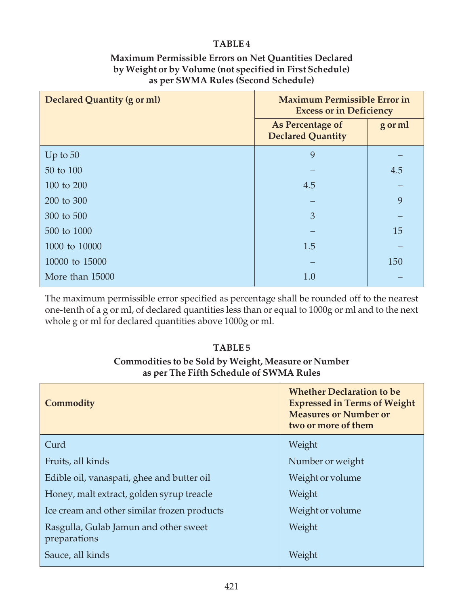#### Maximum Permissible Errors on Net Quantities Declared by Weight or by Volume (not specified in First Schedule) as per SWMA Rules (Second Schedule)

| Declared Quantity (g or ml) | <b>Maximum Permissible Error in</b><br><b>Excess or in Deficiency</b> |         |  |
|-----------------------------|-----------------------------------------------------------------------|---------|--|
|                             | As Percentage of<br><b>Declared Quantity</b>                          | g or ml |  |
| Up to $50$                  | 9                                                                     |         |  |
| 50 to 100                   |                                                                       | 4.5     |  |
| 100 to 200                  | 4.5                                                                   |         |  |
| 200 to 300                  |                                                                       | 9       |  |
| 300 to 500                  | 3                                                                     |         |  |
| 500 to 1000                 |                                                                       | 15      |  |
| 1000 to 10000               | 1.5                                                                   |         |  |
| 10000 to 15000              |                                                                       | 150     |  |
| More than 15000             | 1.0                                                                   |         |  |

The maximum permissible error specified as percentage shall be rounded off to the nearest one-tenth of a g or ml, of declared quantities less than or equal to 1000g or ml and to the next whole g or ml for declared quantities above 1000g or ml.

#### TABLE 5

### Commodities to be Sold by Weight, Measure or Number as per The Fifth Schedule of SWMA Rules

| Commodity                                             | <b>Whether Declaration to be</b><br><b>Expressed in Terms of Weight</b><br><b>Measures or Number or</b><br>two or more of them |
|-------------------------------------------------------|--------------------------------------------------------------------------------------------------------------------------------|
| Curd                                                  | Weight                                                                                                                         |
| Fruits, all kinds                                     | Number or weight                                                                                                               |
| Edible oil, vanaspati, ghee and butter oil            | Weight or volume                                                                                                               |
| Honey, malt extract, golden syrup treacle             | Weight                                                                                                                         |
| Ice cream and other similar frozen products           | Weight or volume                                                                                                               |
| Rasgulla, Gulab Jamun and other sweet<br>preparations | Weight                                                                                                                         |
| Sauce, all kinds                                      | Weight                                                                                                                         |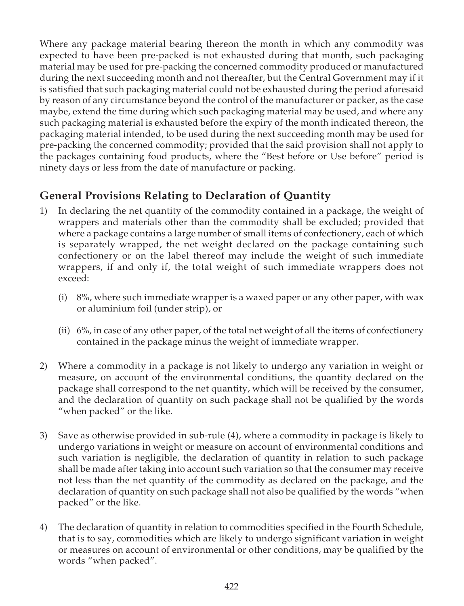Where any package material bearing thereon the month in which any commodity was expected to have been pre-packed is not exhausted during that month, such packaging material may be used for pre-packing the concerned commodity produced or manufactured during the next succeeding month and not thereafter, but the Central Government may if it is satisfied that such packaging material could not be exhausted during the period aforesaid by reason of any circumstance beyond the control of the manufacturer or packer, as the case maybe, extend the time during which such packaging material may be used, and where any such packaging material is exhausted before the expiry of the month indicated thereon, the packaging material intended, to be used during the next succeeding month may be used for pre-packing the concerned commodity; provided that the said provision shall not apply to the packages containing food products, where the "Best before or Use before" period is ninety days or less from the date of manufacture or packing.

### General Provisions Relating to Declaration of Quantity

- 1) In declaring the net quantity of the commodity contained in a package, the weight of wrappers and materials other than the commodity shall be excluded; provided that where a package contains a large number of small items of confectionery, each of which is separately wrapped, the net weight declared on the package containing such confectionery or on the label thereof may include the weight of such immediate wrappers, if and only if, the total weight of such immediate wrappers does not exceed:
	- (i) 8%, where such immediate wrapper is a waxed paper or any other paper, with wax or aluminium foil (under strip), or
	- (ii) 6%, in case of any other paper, of the total net weight of all the items of confectionery contained in the package minus the weight of immediate wrapper.
- 2) Where a commodity in a package is not likely to undergo any variation in weight or measure, on account of the environmental conditions, the quantity declared on the package shall correspond to the net quantity, which will be received by the consumer, and the declaration of quantity on such package shall not be qualified by the words "when packed" or the like.
- 3) Save as otherwise provided in sub-rule (4), where a commodity in package is likely to undergo variations in weight or measure on account of environmental conditions and such variation is negligible, the declaration of quantity in relation to such package shall be made after taking into account such variation so that the consumer may receive not less than the net quantity of the commodity as declared on the package, and the declaration of quantity on such package shall not also be qualified by the words "when packed" or the like.
- 4) The declaration of quantity in relation to commodities specified in the Fourth Schedule, that is to say, commodities which are likely to undergo significant variation in weight or measures on account of environmental or other conditions, may be qualified by the words "when packed".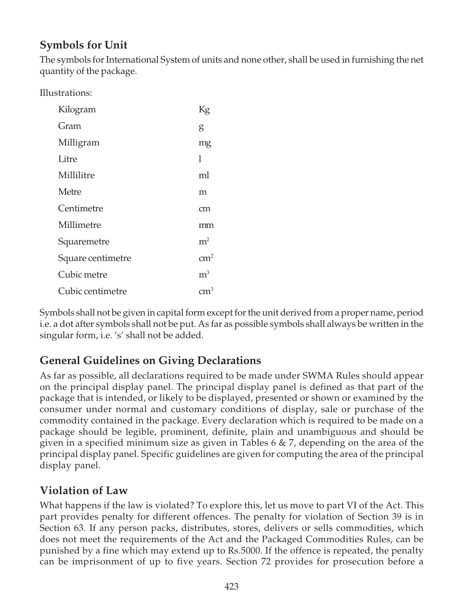# Symbols for Unit

The symbols for International System of units and none other, shall be used in furnishing the net quantity of the package.

Illustrations:

| Kilogram          | Кg             |
|-------------------|----------------|
| Gram              | g              |
| Milligram         | mg             |
| Litre             | 1              |
| Millilitre        | ml             |
| Metre             | m              |
| Centimetre        | cm             |
| Millimetre        | mm             |
| Squaremetre       | m <sup>2</sup> |
| Square centimetre | $\rm cm^2$     |
| Cubic metre       | m <sup>3</sup> |
| Cubic centimetre  |                |

Symbols shall not be given in capital form except for the unit derived from a proper name, period i.e. a dot after symbols shall not be put. As far as possible symbols shall always be written in the singular form, i.e. 's' shall not be added.

### General Guidelines on Giving Declarations

As far as possible, all declarations required to be made under SWMA Rules should appear on the principal display panel. The principal display panel is defined as that part of the package that is intended, or likely to be displayed, presented or shown or examined by the consumer under normal and customary conditions of display, sale or purchase of the commodity contained in the package. Every declaration which is required to be made on a package should be legible, prominent, definite, plain and unambiguous and should be given in a specified minimum size as given in Tables  $6 \& 7$ , depending on the area of the principal display panel. Specific guidelines are given for computing the area of the principal display panel.

### Violation of Law

What happens if the law is violated? To explore this, let us move to part VI of the Act. This part provides penalty for different offences. The penalty for violation of Section 39 is in Section 63. If any person packs, distributes, stores, delivers or sells commodities, which does not meet the requirements of the Act and the Packaged Commodities Rules, can be punished by a fine which may extend up to Rs.5000. If the offence is repeated, the penalty can be imprisonment of up to five years. Section 72 provides for prosecution before a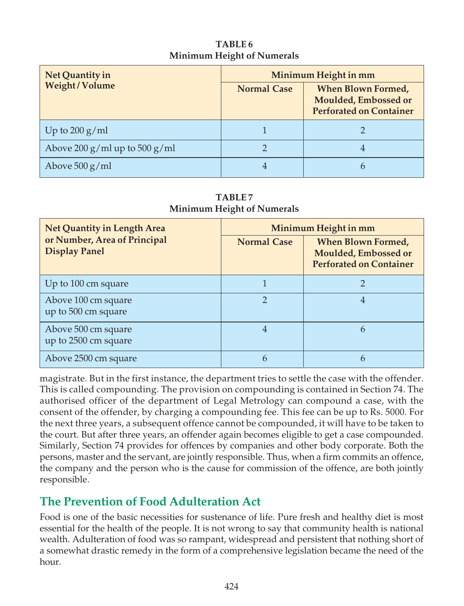### TABLE 6 Minimum Height of Numerals

| Net Quantity in               | Minimum Height in mm |                                                                              |  |
|-------------------------------|----------------------|------------------------------------------------------------------------------|--|
| Weight/Volume                 | <b>Normal Case</b>   | When Blown Formed,<br>Moulded, Embossed or<br><b>Perforated on Container</b> |  |
| Up to $200 \text{ g/ml}$      |                      |                                                                              |  |
| Above 200 g/ml up to 500 g/ml |                      | 4                                                                            |  |
| Above $500 g/ml$              |                      |                                                                              |  |

TABLE 7 Minimum Height of Numerals

| Net Quantity in Length Area                          | Minimum Height in mm |                                                                                     |  |
|------------------------------------------------------|----------------------|-------------------------------------------------------------------------------------|--|
| or Number, Area of Principal<br><b>Display Panel</b> | <b>Normal Case</b>   | <b>When Blown Formed,</b><br>Moulded, Embossed or<br><b>Perforated on Container</b> |  |
| Up to 100 cm square                                  |                      |                                                                                     |  |
| Above 100 cm square<br>up to 500 cm square           | $\mathcal{D}$        | 4                                                                                   |  |
| Above 500 cm square<br>up to 2500 cm square          |                      | 6                                                                                   |  |
| Above 2500 cm square                                 | h                    | b                                                                                   |  |

magistrate. But in the first instance, the department tries to settle the case with the offender. This is called compounding. The provision on compounding is contained in Section 74. The authorised officer of the department of Legal Metrology can compound a case, with the consent of the offender, by charging a compounding fee. This fee can be up to Rs. 5000. For the next three years, a subsequent offence cannot be compounded, it will have to be taken to the court. But after three years, an offender again becomes eligible to get a case compounded. Similarly, Section 74 provides for offences by companies and other body corporate. Both the persons, master and the servant, are jointly responsible. Thus, when a firm commits an offence, the company and the person who is the cause for commission of the offence, are both jointly responsible.

# The Prevention of Food Adulteration Act

Food is one of the basic necessities for sustenance of life. Pure fresh and healthy diet is most essential for the health of the people. It is not wrong to say that community health is national wealth. Adulteration of food was so rampant, widespread and persistent that nothing short of a somewhat drastic remedy in the form of a comprehensive legislation became the need of the hour.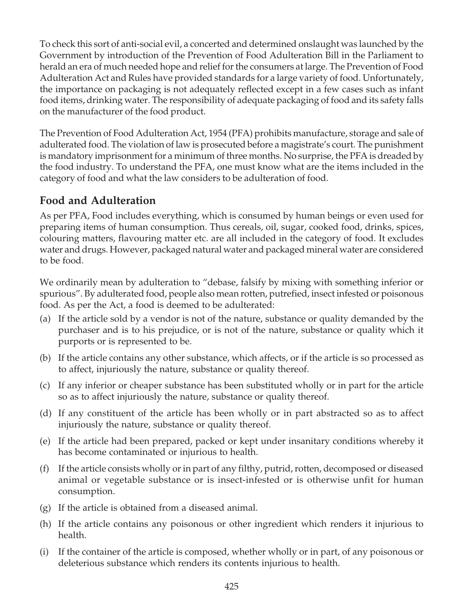To check this sort of anti-social evil, a concerted and determined onslaught was launched by the Government by introduction of the Prevention of Food Adulteration Bill in the Parliament to herald an era of much needed hope and relief for the consumers at large. The Prevention of Food Adulteration Act and Rules have provided standards for a large variety of food. Unfortunately, the importance on packaging is not adequately reflected except in a few cases such as infant food items, drinking water. The responsibility of adequate packaging of food and its safety falls on the manufacturer of the food product.

The Prevention of Food Adulteration Act, 1954 (PFA) prohibits manufacture, storage and sale of adulterated food. The violation of law is prosecuted before a magistrate's court. The punishment is mandatory imprisonment for a minimum of three months. No surprise, the PFA is dreaded by the food industry. To understand the PFA, one must know what are the items included in the category of food and what the law considers to be adulteration of food.

### Food and Adulteration

As per PFA, Food includes everything, which is consumed by human beings or even used for preparing items of human consumption. Thus cereals, oil, sugar, cooked food, drinks, spices, colouring matters, flavouring matter etc. are all included in the category of food. It excludes water and drugs. However, packaged natural water and packaged mineral water are considered to be food.

We ordinarily mean by adulteration to "debase, falsify by mixing with something inferior or spurious". By adulterated food, people also mean rotten, putrefied, insect infested or poisonous food. As per the Act, a food is deemed to be adulterated:

- (a) If the article sold by a vendor is not of the nature, substance or quality demanded by the purchaser and is to his prejudice, or is not of the nature, substance or quality which it purports or is represented to be.
- (b) If the article contains any other substance, which affects, or if the article is so processed as to affect, injuriously the nature, substance or quality thereof.
- (c) If any inferior or cheaper substance has been substituted wholly or in part for the article so as to affect injuriously the nature, substance or quality thereof.
- (d) If any constituent of the article has been wholly or in part abstracted so as to affect injuriously the nature, substance or quality thereof.
- (e) If the article had been prepared, packed or kept under insanitary conditions whereby it has become contaminated or injurious to health.
- (f) If the article consists wholly or in part of any filthy, putrid, rotten, decomposed or diseased animal or vegetable substance or is insect-infested or is otherwise unfit for human consumption.
- (g) If the article is obtained from a diseased animal.
- (h) If the article contains any poisonous or other ingredient which renders it injurious to health.
- (i) If the container of the article is composed, whether wholly or in part, of any poisonous or deleterious substance which renders its contents injurious to health.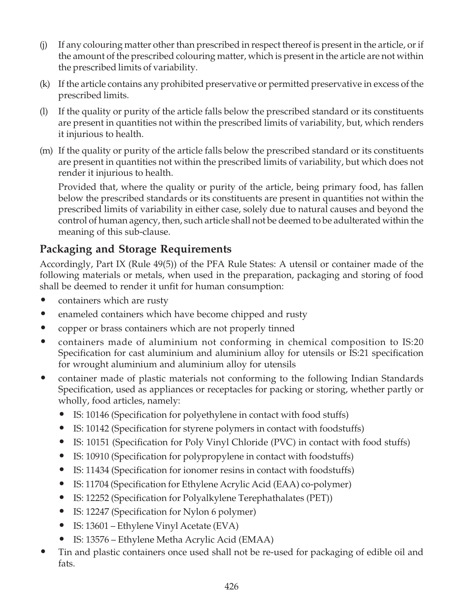- (j) If any colouring matter other than prescribed in respect thereof is present in the article, or if the amount of the prescribed colouring matter, which is present in the article are not within the prescribed limits of variability.
- (k) If the article contains any prohibited preservative or permitted preservative in excess of the prescribed limits.
- (l) If the quality or purity of the article falls below the prescribed standard or its constituents are present in quantities not within the prescribed limits of variability, but, which renders it injurious to health.
- (m) If the quality or purity of the article falls below the prescribed standard or its constituents are present in quantities not within the prescribed limits of variability, but which does not render it injurious to health.

Provided that, where the quality or purity of the article, being primary food, has fallen below the prescribed standards or its constituents are present in quantities not within the prescribed limits of variability in either case, solely due to natural causes and beyond the control of human agency, then, such article shall not be deemed to be adulterated within the meaning of this sub-clause.

### Packaging and Storage Requirements

Accordingly, Part IX (Rule 49(5)) of the PFA Rule States: A utensil or container made of the following materials or metals, when used in the preparation, packaging and storing of food shall be deemed to render it unfit for human consumption:

- containers which are rusty
- enameled containers which have become chipped and rusty
- copper or brass containers which are not properly tinned
- containers made of aluminium not conforming in chemical composition to IS:20 Specification for cast aluminium and aluminium alloy for utensils or IS:21 specification for wrought aluminium and aluminium alloy for utensils
- container made of plastic materials not conforming to the following Indian Standards Specification, used as appliances or receptacles for packing or storing, whether partly or wholly, food articles, namely:
	- IS: 10146 (Specification for polyethylene in contact with food stuffs)
	- IS: 10142 (Specification for styrene polymers in contact with foodstuffs)
	- IS: 10151 (Specification for Poly Vinyl Chloride (PVC) in contact with food stuffs)
	- IS: 10910 (Specification for polypropylene in contact with foodstuffs)
	- IS: 11434 (Specification for ionomer resins in contact with foodstuffs)
	- IS: 11704 (Specification for Ethylene Acrylic Acid (EAA) co-polymer)
	- IS: 12252 (Specification for Polyalkylene Terephathalates (PET))
	- IS: 12247 (Specification for Nylon 6 polymer)
	- IS: 13601 Ethylene Vinyl Acetate (EVA)
	- IS: 13576 Ethylene Metha Acrylic Acid (EMAA)
- Tin and plastic containers once used shall not be re-used for packaging of edible oil and fats.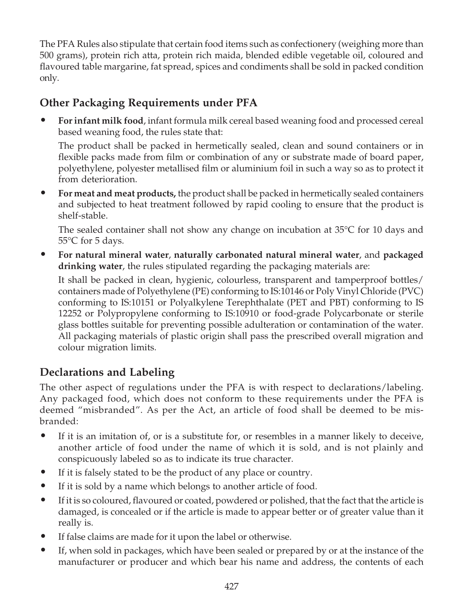The PFA Rules also stipulate that certain food items such as confectionery (weighing more than 500 grams), protein rich atta, protein rich maida, blended edible vegetable oil, coloured and flavoured table margarine, fat spread, spices and condiments shall be sold in packed condition only.

### Other Packaging Requirements under PFA

• For infant milk food, infant formula milk cereal based weaning food and processed cereal based weaning food, the rules state that:

The product shall be packed in hermetically sealed, clean and sound containers or in flexible packs made from film or combination of any or substrate made of board paper, polyethylene, polyester metallised film or aluminium foil in such a way so as to protect it from deterioration.

• For meat and meat products, the product shall be packed in hermetically sealed containers and subjected to heat treatment followed by rapid cooling to ensure that the product is shelf-stable.

The sealed container shall not show any change on incubation at 35°C for 10 days and 55°C for 5 days.

• For natural mineral water, naturally carbonated natural mineral water, and packaged drinking water, the rules stipulated regarding the packaging materials are:

It shall be packed in clean, hygienic, colourless, transparent and tamperproof bottles/ containers made of Polyethylene (PE) conforming to IS:10146 or Poly Vinyl Chloride (PVC) conforming to IS:10151 or Polyalkylene Terephthalate (PET and PBT) conforming to IS 12252 or Polypropylene conforming to IS:10910 or food-grade Polycarbonate or sterile glass bottles suitable for preventing possible adulteration or contamination of the water. All packaging materials of plastic origin shall pass the prescribed overall migration and colour migration limits.

# Declarations and Labeling

The other aspect of regulations under the PFA is with respect to declarations/labeling. Any packaged food, which does not conform to these requirements under the PFA is deemed "misbranded". As per the Act, an article of food shall be deemed to be misbranded:

- If it is an imitation of, or is a substitute for, or resembles in a manner likely to deceive, another article of food under the name of which it is sold, and is not plainly and conspicuously labeled so as to indicate its true character.
- If it is falsely stated to be the product of any place or country.
- If it is sold by a name which belongs to another article of food.
- If it is so coloured, flavoured or coated, powdered or polished, that the fact that the article is damaged, is concealed or if the article is made to appear better or of greater value than it really is.
- If false claims are made for it upon the label or otherwise.
- If, when sold in packages, which have been sealed or prepared by or at the instance of the manufacturer or producer and which bear his name and address, the contents of each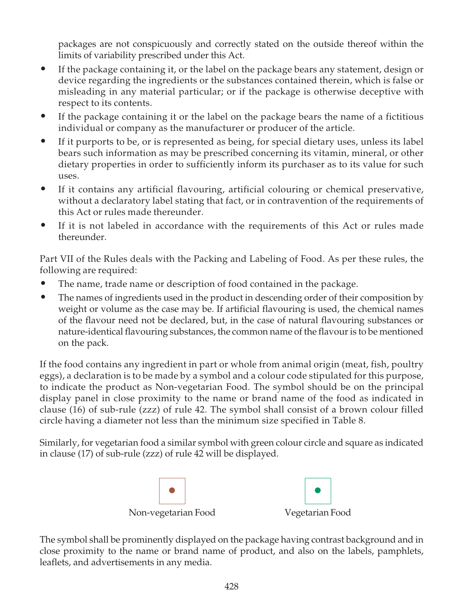packages are not conspicuously and correctly stated on the outside thereof within the limits of variability prescribed under this Act.

- If the package containing it, or the label on the package bears any statement, design or device regarding the ingredients or the substances contained therein, which is false or misleading in any material particular; or if the package is otherwise deceptive with respect to its contents.
- If the package containing it or the label on the package bears the name of a fictitious individual or company as the manufacturer or producer of the article.
- If it purports to be, or is represented as being, for special dietary uses, unless its label bears such information as may be prescribed concerning its vitamin, mineral, or other dietary properties in order to sufficiently inform its purchaser as to its value for such uses.
- If it contains any artificial flavouring, artificial colouring or chemical preservative, without a declaratory label stating that fact, or in contravention of the requirements of this Act or rules made thereunder.
- If it is not labeled in accordance with the requirements of this Act or rules made thereunder.

Part VII of the Rules deals with the Packing and Labeling of Food. As per these rules, the following are required:

- The name, trade name or description of food contained in the package.
- The names of ingredients used in the product in descending order of their composition by weight or volume as the case may be. If artificial flavouring is used, the chemical names of the flavour need not be declared, but, in the case of natural flavouring substances or nature-identical flavouring substances, the common name of the flavour is to be mentioned on the pack.

If the food contains any ingredient in part or whole from animal origin (meat, fish, poultry eggs), a declaration is to be made by a symbol and a colour code stipulated for this purpose, to indicate the product as Non-vegetarian Food. The symbol should be on the principal display panel in close proximity to the name or brand name of the food as indicated in clause (16) of sub-rule (zzz) of rule 42. The symbol shall consist of a brown colour filled circle having a diameter not less than the minimum size specified in Table 8.

Similarly, for vegetarian food a similar symbol with green colour circle and square as indicated in clause (17) of sub-rule (zzz) of rule 42 will be displayed.



The symbol shall be prominently displayed on the package having contrast background and in close proximity to the name or brand name of product, and also on the labels, pamphlets, leaflets, and advertisements in any media.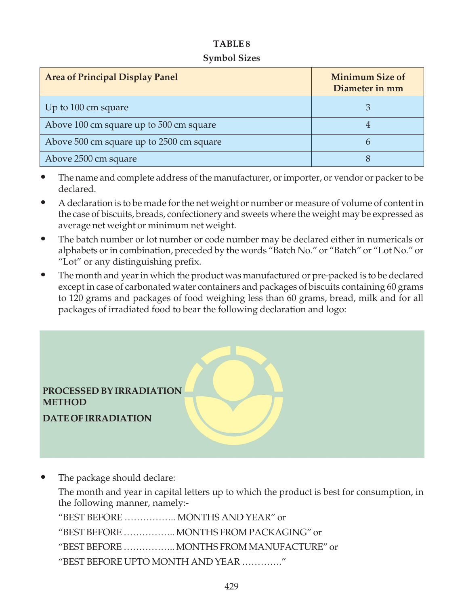#### Symbol Sizes

| <b>Area of Principal Display Panel</b>   | <b>Minimum Size of</b><br>Diameter in mm |  |
|------------------------------------------|------------------------------------------|--|
| Up to 100 cm square                      |                                          |  |
| Above 100 cm square up to 500 cm square  |                                          |  |
| Above 500 cm square up to 2500 cm square | h                                        |  |
| Above 2500 cm square                     |                                          |  |

- The name and complete address of the manufacturer, or importer, or vendor or packer to be declared.
- A declaration is to be made for the net weight or number or measure of volume of content in the case of biscuits, breads, confectionery and sweets where the weight may be expressed as average net weight or minimum net weight.
- The batch number or lot number or code number may be declared either in numericals or alphabets or in combination, preceded by the words "Batch No." or "Batch" or "Lot No." or "Lot" or any distinguishing prefix.
- The month and year in which the product was manufactured or pre-packed is to be declared except in case of carbonated water containers and packages of biscuits containing 60 grams to 120 grams and packages of food weighing less than 60 grams, bread, milk and for all packages of irradiated food to bear the following declaration and logo:

PROCESSED BY IRRADIATION **METHOD** 

DATE OF IRRADIATION

The package should declare:

The month and year in capital letters up to which the product is best for consumption, in the following manner, namely:-

"BEST BEFORE …………….. MONTHS AND YEAR" or

"BEST BEFORE …………….. MONTHS FROM PACKAGING" or

"BEST BEFORE …………….. MONTHS FROM MANUFACTURE" or

"BEST BEFORE UPTO MONTH AND YEAR …………."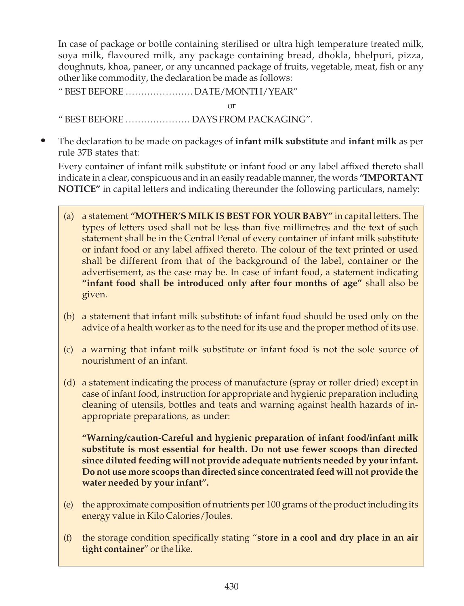In case of package or bottle containing sterilised or ultra high temperature treated milk, soya milk, flavoured milk, any package containing bread, dhokla, bhelpuri, pizza, doughnuts, khoa, paneer, or any uncanned package of fruits, vegetable, meat, fish or any other like commodity, the declaration be made as follows:

" BEST BEFORE …………………. DATE/MONTH/YEAR"

or

" BEST BEFORE ………………… DAYS FROM PACKAGING".

The declaration to be made on packages of infant milk substitute and infant milk as per rule 37B states that:

Every container of infant milk substitute or infant food or any label affixed thereto shall indicate in a clear, conspicuous and in an easily readable manner, the words "IMPORTANT NOTICE" in capital letters and indicating thereunder the following particulars, namely:

- (a) a statement "MOTHER'S MILK IS BEST FOR YOUR BABY" in capital letters. The types of letters used shall not be less than five millimetres and the text of such statement shall be in the Central Penal of every container of infant milk substitute or infant food or any label affixed thereto. The colour of the text printed or used shall be different from that of the background of the label, container or the advertisement, as the case may be. In case of infant food, a statement indicating "infant food shall be introduced only after four months of age" shall also be given.
- (b) a statement that infant milk substitute of infant food should be used only on the advice of a health worker as to the need for its use and the proper method of its use.
- (c) a warning that infant milk substitute or infant food is not the sole source of nourishment of an infant.
- (d) a statement indicating the process of manufacture (spray or roller dried) except in case of infant food, instruction for appropriate and hygienic preparation including cleaning of utensils, bottles and teats and warning against health hazards of inappropriate preparations, as under:

"Warning/caution-Careful and hygienic preparation of infant food/infant milk substitute is most essential for health. Do not use fewer scoops than directed since diluted feeding will not provide adequate nutrients needed by your infant. Do not use more scoops than directed since concentrated feed will not provide the water needed by your infant".

- (e) the approximate composition of nutrients per 100 grams of the product including its energy value in Kilo Calories/Joules.
- (f) the storage condition specifically stating "store in a cool and dry place in an air tight container" or the like.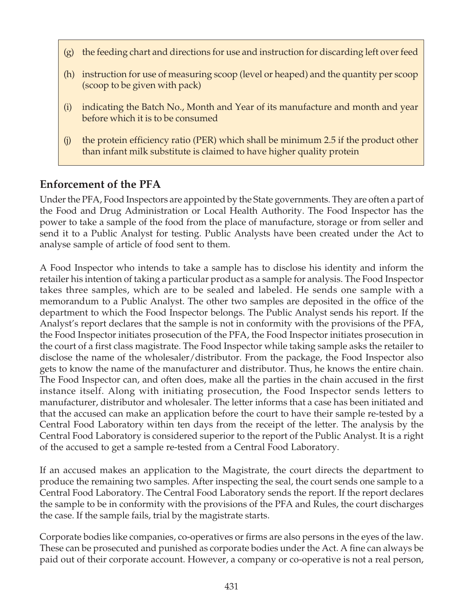- (g) the feeding chart and directions for use and instruction for discarding left over feed
- (h) instruction for use of measuring scoop (level or heaped) and the quantity per scoop (scoop to be given with pack)
- (i) indicating the Batch No., Month and Year of its manufacture and month and year before which it is to be consumed
- (j) the protein efficiency ratio (PER) which shall be minimum 2.5 if the product other than infant milk substitute is claimed to have higher quality protein

### Enforcement of the PFA

Under the PFA, Food Inspectors are appointed by the State governments. They are often a part of the Food and Drug Administration or Local Health Authority. The Food Inspector has the power to take a sample of the food from the place of manufacture, storage or from seller and send it to a Public Analyst for testing. Public Analysts have been created under the Act to analyse sample of article of food sent to them.

A Food Inspector who intends to take a sample has to disclose his identity and inform the retailer his intention of taking a particular product as a sample for analysis. The Food Inspector takes three samples, which are to be sealed and labeled. He sends one sample with a memorandum to a Public Analyst. The other two samples are deposited in the office of the department to which the Food Inspector belongs. The Public Analyst sends his report. If the Analyst's report declares that the sample is not in conformity with the provisions of the PFA, the Food Inspector initiates prosecution of the PFA, the Food Inspector initiates prosecution in the court of a first class magistrate. The Food Inspector while taking sample asks the retailer to disclose the name of the wholesaler/distributor. From the package, the Food Inspector also gets to know the name of the manufacturer and distributor. Thus, he knows the entire chain. The Food Inspector can, and often does, make all the parties in the chain accused in the first instance itself. Along with initiating prosecution, the Food Inspector sends letters to manufacturer, distributor and wholesaler. The letter informs that a case has been initiated and that the accused can make an application before the court to have their sample re-tested by a Central Food Laboratory within ten days from the receipt of the letter. The analysis by the Central Food Laboratory is considered superior to the report of the Public Analyst. It is a right of the accused to get a sample re-tested from a Central Food Laboratory.

If an accused makes an application to the Magistrate, the court directs the department to produce the remaining two samples. After inspecting the seal, the court sends one sample to a Central Food Laboratory. The Central Food Laboratory sends the report. If the report declares the sample to be in conformity with the provisions of the PFA and Rules, the court discharges the case. If the sample fails, trial by the magistrate starts.

Corporate bodies like companies, co-operatives or firms are also persons in the eyes of the law. These can be prosecuted and punished as corporate bodies under the Act. A fine can always be paid out of their corporate account. However, a company or co-operative is not a real person,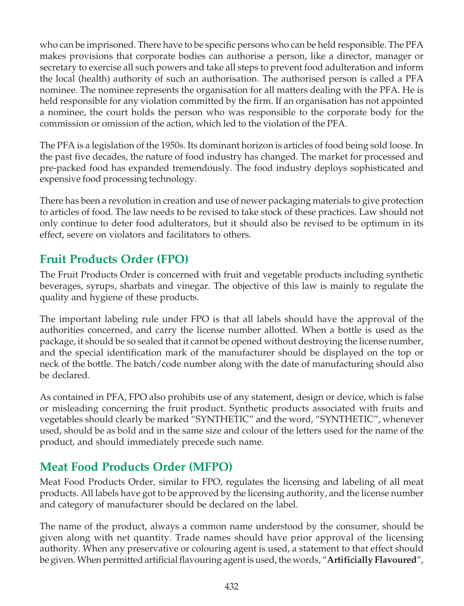who can be imprisoned. There have to be specific persons who can be held responsible. The PFA makes provisions that corporate bodies can authorise a person, like a director, manager or secretary to exercise all such powers and take all steps to prevent food adulteration and inform the local (health) authority of such an authorisation. The authorised person is called a PFA nominee. The nominee represents the organisation for all matters dealing with the PFA. He is held responsible for any violation committed by the firm. If an organisation has not appointed a nominee, the court holds the person who was responsible to the corporate body for the commission or omission of the action, which led to the violation of the PFA.

The PFA is a legislation of the 1950s. Its dominant horizon is articles of food being sold loose. In the past five decades, the nature of food industry has changed. The market for processed and pre-packed food has expanded tremendously. The food industry deploys sophisticated and expensive food processing technology.

There has been a revolution in creation and use of newer packaging materials to give protection to articles of food. The law needs to be revised to take stock of these practices. Law should not only continue to deter food adulterators, but it should also be revised to be optimum in its effect, severe on violators and facilitators to others.

# Fruit Products Order (FPO)

The Fruit Products Order is concerned with fruit and vegetable products including synthetic beverages, syrups, sharbats and vinegar. The objective of this law is mainly to regulate the quality and hygiene of these products.

The important labeling rule under FPO is that all labels should have the approval of the authorities concerned, and carry the license number allotted. When a bottle is used as the package, it should be so sealed that it cannot be opened without destroying the license number, and the special identification mark of the manufacturer should be displayed on the top or neck of the bottle. The batch/code number along with the date of manufacturing should also be declared.

As contained in PFA, FPO also prohibits use of any statement, design or device, which is false or misleading concerning the fruit product. Synthetic products associated with fruits and vegetables should clearly be marked "SYNTHETIC" and the word, "SYNTHETIC", whenever used, should be as bold and in the same size and colour of the letters used for the name of the product, and should immediately precede such name.

# Meat Food Products Order (MFPO)

Meat Food Products Order, similar to FPO, regulates the licensing and labeling of all meat products. All labels have got to be approved by the licensing authority, and the license number and category of manufacturer should be declared on the label.

The name of the product, always a common name understood by the consumer, should be given along with net quantity. Trade names should have prior approval of the licensing authority. When any preservative or colouring agent is used, a statement to that effect should be given. When permitted artificial flavouring agent is used, the words, "**Artificially Flavoured**",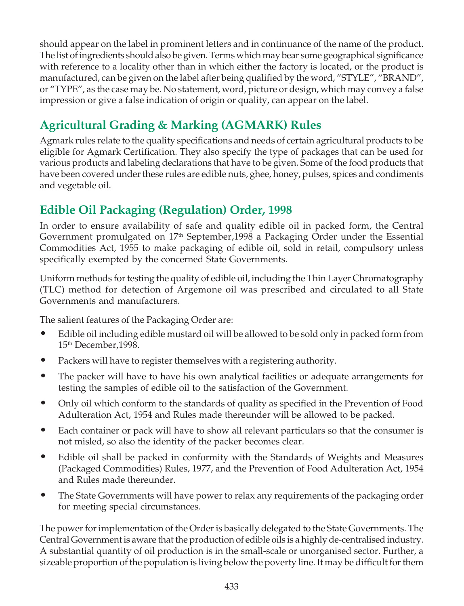should appear on the label in prominent letters and in continuance of the name of the product. The list of ingredients should also be given. Terms which may bear some geographical significance with reference to a locality other than in which either the factory is located, or the product is manufactured, can be given on the label after being qualified by the word, "STYLE", "BRAND", or "TYPE", as the case may be. No statement, word, picture or design, which may convey a false impression or give a false indication of origin or quality, can appear on the label.

# Agricultural Grading & Marking (AGMARK) Rules

Agmark rules relate to the quality specifications and needs of certain agricultural products to be eligible for Agmark Certification. They also specify the type of packages that can be used for various products and labeling declarations that have to be given. Some of the food products that have been covered under these rules are edible nuts, ghee, honey, pulses, spices and condiments and vegetable oil.

# Edible Oil Packaging (Regulation) Order, 1998

In order to ensure availability of safe and quality edible oil in packed form, the Central Government promulgated on  $17<sup>th</sup>$  September, 1998 a Packaging Order under the Essential Commodities Act, 1955 to make packaging of edible oil, sold in retail, compulsory unless specifically exempted by the concerned State Governments.

Uniform methods for testing the quality of edible oil, including the Thin Layer Chromatography (TLC) method for detection of Argemone oil was prescribed and circulated to all State Governments and manufacturers.

The salient features of the Packaging Order are:

- Edible oil including edible mustard oil will be allowed to be sold only in packed form from 15th December,1998.
- Packers will have to register themselves with a registering authority.
- The packer will have to have his own analytical facilities or adequate arrangements for testing the samples of edible oil to the satisfaction of the Government.
- Only oil which conform to the standards of quality as specified in the Prevention of Food Adulteration Act, 1954 and Rules made thereunder will be allowed to be packed.
- Each container or pack will have to show all relevant particulars so that the consumer is not misled, so also the identity of the packer becomes clear.
- Edible oil shall be packed in conformity with the Standards of Weights and Measures (Packaged Commodities) Rules, 1977, and the Prevention of Food Adulteration Act, 1954 and Rules made thereunder.
- The State Governments will have power to relax any requirements of the packaging order for meeting special circumstances.

The power for implementation of the Order is basically delegated to the State Governments. The Central Government is aware that the production of edible oils is a highly de-centralised industry. A substantial quantity of oil production is in the small-scale or unorganised sector. Further, a sizeable proportion of the population is living below the poverty line. It may be difficult for them